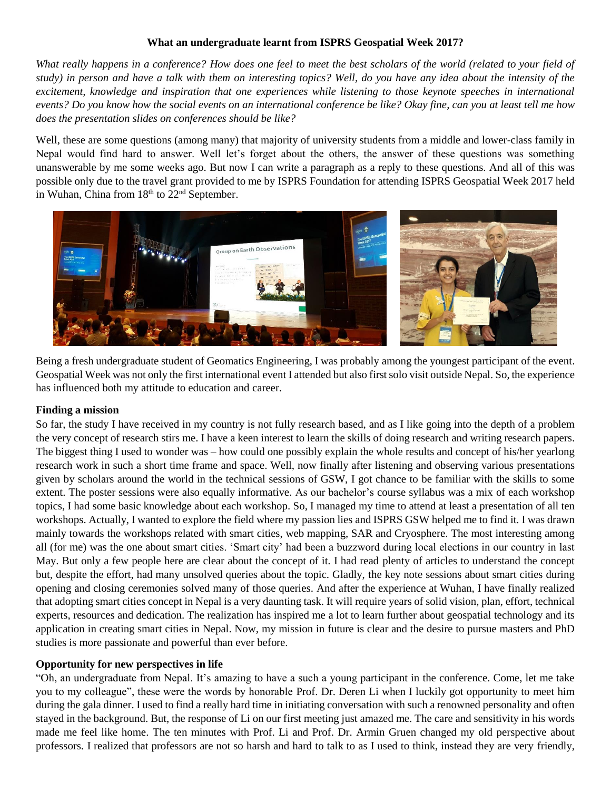## **What an undergraduate learnt from ISPRS Geospatial Week 2017?**

*What really happens in a conference? How does one feel to meet the best scholars of the world (related to your field of study) in person and have a talk with them on interesting topics? Well, do you have any idea about the intensity of the excitement, knowledge and inspiration that one experiences while listening to those keynote speeches in international events? Do you know how the social events on an international conference be like? Okay fine, can you at least tell me how does the presentation slides on conferences should be like?* 

Well, these are some questions (among many) that majority of university students from a middle and lower-class family in Nepal would find hard to answer. Well let's forget about the others, the answer of these questions was something unanswerable by me some weeks ago. But now I can write a paragraph as a reply to these questions. And all of this was possible only due to the travel grant provided to me by ISPRS Foundation for attending ISPRS Geospatial Week 2017 held in Wuhan, China from  $18<sup>th</sup>$  to  $22<sup>nd</sup>$  September.



Being a fresh undergraduate student of Geomatics Engineering, I was probably among the youngest participant of the event. Geospatial Week was not only the first international event I attended but also first solo visit outside Nepal. So, the experience has influenced both my attitude to education and career.

## **Finding a mission**

So far, the study I have received in my country is not fully research based, and as I like going into the depth of a problem the very concept of research stirs me. I have a keen interest to learn the skills of doing research and writing research papers. The biggest thing I used to wonder was – how could one possibly explain the whole results and concept of his/her yearlong research work in such a short time frame and space. Well, now finally after listening and observing various presentations given by scholars around the world in the technical sessions of GSW, I got chance to be familiar with the skills to some extent. The poster sessions were also equally informative. As our bachelor's course syllabus was a mix of each workshop topics, I had some basic knowledge about each workshop. So, I managed my time to attend at least a presentation of all ten workshops. Actually, I wanted to explore the field where my passion lies and ISPRS GSW helped me to find it. I was drawn mainly towards the workshops related with smart cities, web mapping, SAR and Cryosphere. The most interesting among all (for me) was the one about smart cities. 'Smart city' had been a buzzword during local elections in our country in last May. But only a few people here are clear about the concept of it. I had read plenty of articles to understand the concept but, despite the effort, had many unsolved queries about the topic. Gladly, the key note sessions about smart cities during opening and closing ceremonies solved many of those queries. And after the experience at Wuhan, I have finally realized that adopting smart cities concept in Nepal is a very daunting task. It will require years of solid vision, plan, effort, technical experts, resources and dedication. The realization has inspired me a lot to learn further about geospatial technology and its application in creating smart cities in Nepal. Now, my mission in future is clear and the desire to pursue masters and PhD studies is more passionate and powerful than ever before.

## **Opportunity for new perspectives in life**

"Oh, an undergraduate from Nepal. It's amazing to have a such a young participant in the conference. Come, let me take you to my colleague", these were the words by honorable Prof. Dr. Deren Li when I luckily got opportunity to meet him during the gala dinner. I used to find a really hard time in initiating conversation with such a renowned personality and often stayed in the background. But, the response of Li on our first meeting just amazed me. The care and sensitivity in his words made me feel like home. The ten minutes with Prof. Li and Prof. Dr. Armin Gruen changed my old perspective about professors. I realized that professors are not so harsh and hard to talk to as I used to think, instead they are very friendly,